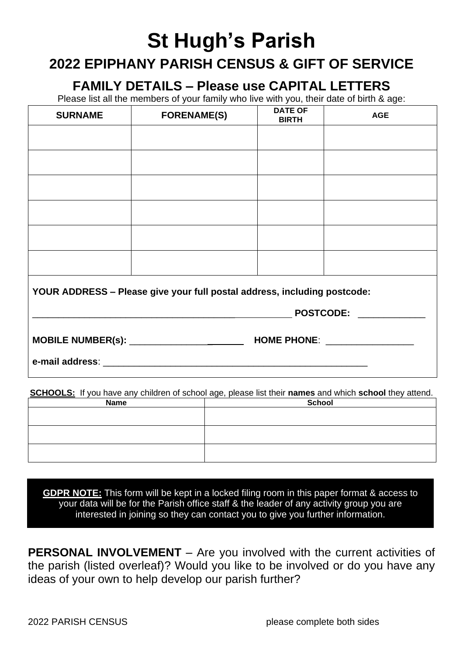## **St Hugh's Parish**

## **2022 EPIPHANY PARISH CENSUS & GIFT OF SERVICE**

**FAMILY DETAILS – Please use CAPITAL LETTERS**

Please list all the members of your family who live with you, their date of birth & age:

| <b>SURNAME</b>                                                           | <b>FORENAME(S)</b>           | <b>DATE OF</b><br><b>BIRTH</b> | <b>AGE</b> |  |  |  |
|--------------------------------------------------------------------------|------------------------------|--------------------------------|------------|--|--|--|
|                                                                          |                              |                                |            |  |  |  |
|                                                                          |                              |                                |            |  |  |  |
|                                                                          |                              |                                |            |  |  |  |
|                                                                          |                              |                                |            |  |  |  |
|                                                                          |                              |                                |            |  |  |  |
|                                                                          |                              |                                |            |  |  |  |
| YOUR ADDRESS - Please give your full postal address, including postcode: |                              |                                |            |  |  |  |
|                                                                          | POSTCODE: NAMEL AND POSTCODE |                                |            |  |  |  |
|                                                                          |                              |                                |            |  |  |  |
|                                                                          |                              |                                |            |  |  |  |

**SCHOOLS:** If you have any children of school age, please list their **names** and which **school** they attend.

| <b>Name</b> | <b>School</b> |  |  |
|-------------|---------------|--|--|
|             |               |  |  |
|             |               |  |  |
|             |               |  |  |
|             |               |  |  |
|             |               |  |  |
|             |               |  |  |

**GDPR NOTE:** This form will be kept in a locked filing room in this paper format & access to your data will be for the Parish office staff & the leader of any activity group you are interested in joining so they can contact you to give you further information.

**PERSONAL INVOLVEMENT** – Are you involved with the current activities of the parish (listed overleaf)? Would you like to be involved or do you have any ideas of your own to help develop our parish further?